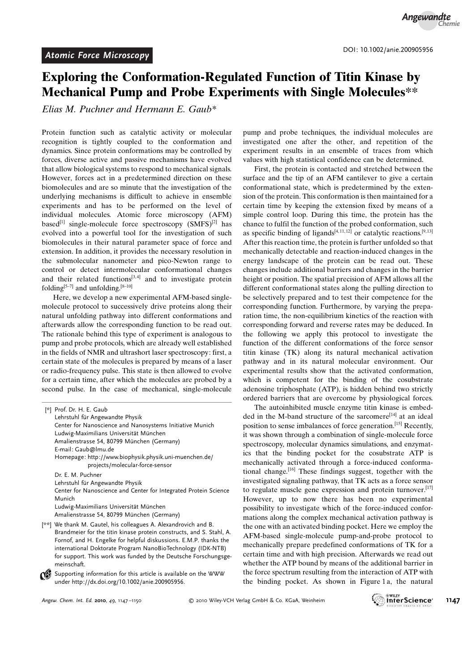## Exploring the Conformation-Regulated Function of Titin Kinase by Mechanical Pump and Probe Experiments with Single Molecules\*\*

Elias M. Puchner and Hermann E. Gaub\*

Protein function such as catalytic activity or molecular recognition is tightly coupled to the conformation and dynamics. Since protein conformations may be controlled by forces, diverse active and passive mechanisms have evolved that allow biological systems to respond to mechanical signals. However, forces act in a predetermined direction on these biomolecules and are so minute that the investigation of the underlying mechanisms is difficult to achieve in ensemble experiments and has to be performed on the level of individual molecules. Atomic force microscopy (AFM) based<sup>[1]</sup> single-molecule force spectroscopy  $(SMFS)^{[2]}$  has evolved into a powerful tool for the investigation of such biomolecules in their natural parameter space of force and extension. In addition, it provides the necessary resolution in the submolecular nanometer and pico-Newton range to control or detect intermolecular conformational changes and their related functions $[3, 4]$  and to investigate protein folding $[5-7]$  and unfolding. $[8-10]$ 

Here, we develop a new experimental AFM-based singlemolecule protocol to successively drive proteins along their natural unfolding pathway into different conformations and afterwards allow the corresponding function to be read out. The rationale behind this type of experiment is analogous to pump and probe protocols, which are already well established in the fields of NMR and ultrashort laser spectroscopy: first, a certain state of the molecules is prepared by means of a laser or radio-frequency pulse. This state is then allowed to evolve for a certain time, after which the molecules are probed by a second pulse. In the case of mechanical, single-molecule

| [*] Prof. Dr. H. E. Gaub                                                                  |
|-------------------------------------------------------------------------------------------|
| Lehrstuhl für Angewandte Physik                                                           |
| Center for Nanoscience and Nanosystems Initiative Munich                                  |
| Ludwig-Maximilians Universität München                                                    |
| Amalienstrasse 54, 80799 München (Germany)                                                |
| E-mail: Gaub@lmu.de                                                                       |
| Homepage: http://www.biophysik.physik.uni-muenchen.de/<br>projects/molecular-force-sensor |
| Dr. E. M. Puchner                                                                         |
| Lehrstuhl für Angewandte Physik                                                           |
| Center for Nanoscience and Center for Integrated Protein Science                          |
| Munich                                                                                    |
| Ludwig-Maximilians Universität München                                                    |
| Amalienstrasse 54, 80799 München (Germany)                                                |
| [**] We thank M. Gautel, his colleagues A. Alexandrovich and B.                           |
| Brandmeier for the titin kinase protein constructs, and S. Stahl, A.                      |
| Fornof, and H. Engelke for helpful diskussions. E.M.P. thanks the                         |
| international Doktorate Program NanoBioTechnology (IDK-NTB)                               |
| for support. This work was funded by the Deutsche Forschungsge-                           |

 $\bigcirc$  Supporting information for this article is available on the WWW under<http://dx.doi.org/10.1002/anie.200905956>.

pump and probe techniques, the individual molecules are investigated one after the other, and repetition of the experiment results in an ensemble of traces from which values with high statistical confidence can be determined.

First, the protein is contacted and stretched between the surface and the tip of an AFM cantilever to give a certain conformational state, which is predetermined by the extension of the protein. This conformation is then maintained for a certain time by keeping the extension fixed by means of a simple control loop. During this time, the protein has the chance to fulfil the function of the probed conformation, such as specific binding of ligands<sup>[4, 11, 12]</sup> or catalytic reactions.<sup>[9, 13]</sup> After this reaction time, the protein is further unfolded so that mechanically detectable and reaction-induced changes in the energy landscape of the protein can be read out. These changes include additional barriers and changes in the barrier height or position. The spatial precision of AFM allows all the different conformational states along the pulling direction to be selectively prepared and to test their competence for the corresponding function. Furthermore, by varying the preparation time, the non-equilibrium kinetics of the reaction with corresponding forward and reverse rates may be deduced. In the following we apply this protocol to investigate the function of the different conformations of the force sensor titin kinase (TK) along its natural mechanical activation pathway and in its natural molecular environment. Our experimental results show that the activated conformation, which is competent for the binding of the cosubstrate adenosine triphosphate (ATP), is hidden behind two strictly ordered barriers that are overcome by physiological forces.

The autoinhibited muscle enzyme titin kinase is embedded in the M-band structure of the sarcomere<sup>[14]</sup> at an ideal position to sense imbalances of force generation.[15] Recently, it was shown through a combination of single-molecule force spectroscopy, molecular dynamics simulations, and enzymatics that the binding pocket for the cosubstrate ATP is mechanically activated through a force-induced conformational change.[16] These findings suggest, together with the investigated signaling pathway, that TK acts as a force sensor to regulate muscle gene expression and protein turnover.<sup>[17]</sup> However, up to now there has been no experimental possibility to investigate which of the force-induced conformations along the complex mechanical activation pathway is the one with an activated binding pocket. Here we employ the AFM-based single-molecule pump-and-probe protocol to mechanically prepare predefined conformations of TK for a certain time and with high precision. Afterwards we read out whether the ATP bound by means of the additional barrier in the force spectrum resulting from the interaction of ATP with the binding pocket. As shown in Figure 1 a, the natural

meinschaft.

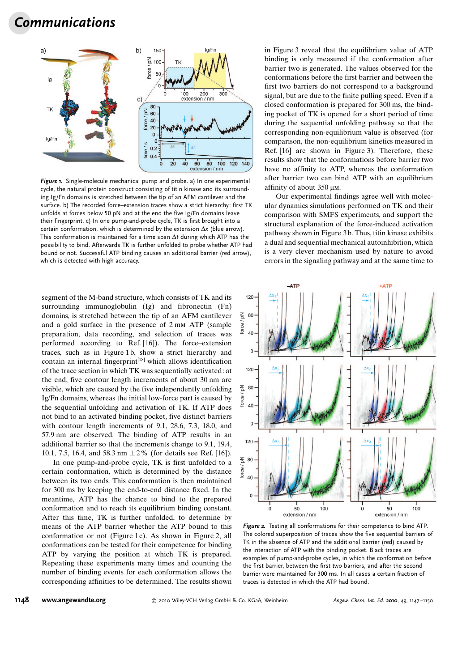## Communications



Figure 1. Single-molecule mechanical pump and probe. a) In one experimental cycle, the natural protein construct consisting of titin kinase and its surrounding Ig/Fn domains is stretched between the tip of an AFM cantilever and the surface. b) The recorded force–extension traces show a strict hierarchy: first TK unfolds at forces below 50 pN and at the end the five Ig/Fn domains leave their fingerprint. c) In one pump-and-probe cycle, TK is first brought into a certain conformation, which is determined by the extension  $\Delta x$  (blue arrow). This conformation is maintained for a time span  $\Delta t$  during which ATP has the possibility to bind. Afterwards TK is further unfolded to probe whether ATP had bound or not. Successful ATP binding causes an additional barrier (red arrow), which is detected with high accuracy.

segment of the M-band structure, which consists of TK and its surrounding immunoglobulin (Ig) and fibronectin (Fn) domains, is stretched between the tip of an AFM cantilever and a gold surface in the presence of 2 mm ATP (sample preparation, data recording, and selection of traces was performed according to Ref. [16]). The force–extension traces, such as in Figure 1b, show a strict hierarchy and contain an internal fingerprint $[18]$  which allows identification of the trace section in which TK was sequentially activated: at the end, five contour length increments of about 30 nm are visible, which are caused by the five independently unfolding Ig/Fn domains, whereas the initial low-force part is caused by the sequential unfolding and activation of TK. If ATP does not bind to an activated binding pocket, five distinct barriers with contour length increments of 9.1, 28.6, 7.3, 18.0, and 57.9 nm are observed. The binding of ATP results in an additional barrier so that the increments change to 9.1, 19.4, 10.1, 7.5, 16.4, and 58.3 nm  $\pm 2\%$  (for details see Ref. [16]).

In one pump-and-probe cycle, TK is first unfolded to a certain conformation, which is determined by the distance between its two ends. This conformation is then maintained for 300 ms by keeping the end-to-end distance fixed. In the meantime, ATP has the chance to bind to the prepared conformation and to reach its equilibrium binding constant. After this time, TK is further unfolded, to determine by means of the ATP barrier whether the ATP bound to this conformation or not (Figure 1c). As shown in Figure 2, all conformations can be tested for their competence for binding ATP by varying the position at which TK is prepared. Repeating these experiments many times and counting the number of binding events for each conformation allows the corresponding affinities to be determined. The results shown in Figure 3 reveal that the equilibrium value of ATP binding is only measured if the conformation after barrier two is generated. The values observed for the conformations before the first barrier and between the first two barriers do not correspond to a background signal, but are due to the finite pulling speed. Even if a closed conformation is prepared for 300 ms, the binding pocket of TK is opened for a short period of time during the sequential unfolding pathway so that the corresponding non-equilibrium value is observed (for comparison, the non-equilibrium kinetics measured in Ref. [16] are shown in Figure 3). Therefore, these results show that the conformations before barrier two have no affinity to ATP, whereas the conformation after barrier two can bind ATP with an equilibrium affinity of about  $350 \mu$ M.

Our experimental findings agree well with molecular dynamics simulations performed on TK and their comparison with SMFS experiments, and support the structural explanation of the force-induced activation pathway shown in Figure 3 b. Thus, titin kinase exhibits a dual and sequential mechanical autoinhibition, which is a very clever mechanism used by nature to avoid errors in the signaling pathway and at the same time to



Figure 2. Testing all conformations for their competence to bind ATP. The colored superposition of traces show the five sequential barriers of TK in the absence of ATP and the additional barrier (red) caused by the interaction of ATP with the binding pocket. Black traces are examples of pump-and-probe cycles, in which the conformation before the first barrier, between the first two barriers, and after the second barrier were maintained for 300 ms. In all cases a certain fraction of traces is detected in which the ATP had bound.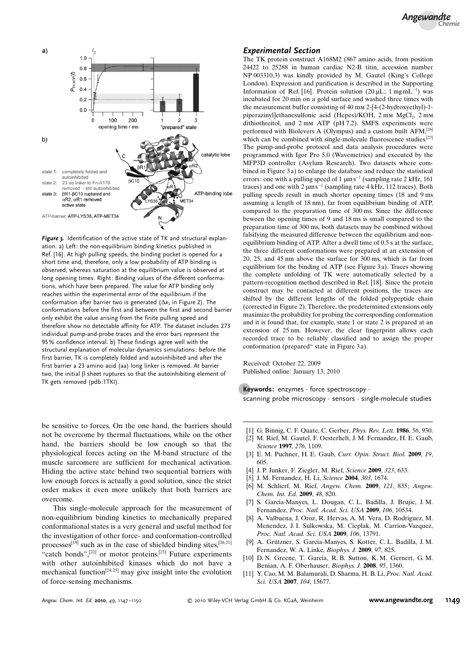

Figure 3. Identification of the active state of TK and structural explanation. a) Left: the non-equilibrium binding kinetics published in Ref. [16]. At high pulling speeds, the binding pocket is opened for a short time and, therefore, only a low probability of ATP binding is observed, whereas saturation at the equilibrium value is observed at long opening times. Right: Binding values of the different conformations, which have been prepared. The value for ATP binding only reaches within the experimental error of the equilibrium if the conformation after barrier two is generated  $(\Delta x_3)$  in Figure 2). The conformations before the first and between the first and second barrier only exhibit the value arising from the finite pulling speed and therefore show no detectable affinity for ATP. The dataset includes 273 individual pump-and-probe traces and the error bars represent the 95% confidence interval. b) These findings agree well with the structural explanation of molecular dynamics simulations: before the first barrier, TK is completely folded and autoinhibited and after the first barrier a 23 amino acid (aa) long linker is removed. At barrier two, the initial  $\beta$  sheet ruptures so that the autoinhibiting element of TK gets removed (pdb:1TKI).

be sensitive to forces. On the one hand, the barriers should not be overcome by thermal fluctuations, while on the other hand, the barriers should be low enough so that the physiological forces acting on the M-band structure of the muscle sarcomere are sufficient for mechanical activation. Hiding the active state behind two sequential barriers with low enough forces is actually a good solution, since the strict order makes it even more unlikely that both barriers are overcome.

This single-molecule approach for the measurement of non-equilibrium binding kinetics to mechanically prepared conformational states is a very general and useful method for the investigation of other force- and conformation-controlled processes<sup>[19]</sup> such as in the case of shielded binding sites,<sup>[20,21]</sup> "catch bonds", $[22]$  or motor proteins.<sup>[23]</sup> Future experiments with other autoinhibited kinases which do not have a mechanical function<sup>[24, 25]</sup> may give insight into the evolution of force-sensing mechanisms.

## Experimental Section

The TK protein construct A168M2 (867 amino acids, from position 24422 to 25288 in human cardiac N2-B titin, accession number NP 003310.3) was kindly provided by M. Gautel (King's College London). Expression and purification is described in the Supporting Information of Ref. [16]. Protein solution (20  $\mu$ L; 1 mgmL<sup>-1</sup>) was incubated for 20 min on a gold surface and washed three times with the measurement buffer consisting of 40 mm 2-[4-(2-hydroxyethyl)-1 piperazinyl]ethanesulfonic acid (Hepes)/KOH, 2 mm MgCl<sub>2</sub>, 2 mm dithiothreitol, and 2 mm ATP (pH 7.2). SMFS experiments were performed with Biolevers A (Olympus) and a custom built AFM,<sup>[26]</sup> which can be combined with single-molecule fluorescence studies.<sup>[27]</sup> The pump-and-probe protocol and data analysis procedures were programmed with Igor Pro 5.0 (Wavemetrics) and executed by the MFP3D controller (Asylum Research). Two datasets where combined in Figure 3 a) to enlarge the database and reduce the statistical errors: one with a pulling speed of 1  $\mu$ m s<sup>-1</sup> (sampling rate 2 kHz, 161) traces) and one with 2  $\mu$ m s<sup>-1</sup> (sampling rate 4 kHz, 112 traces). Both pulling speeds result in much shorter opening times (18 and 9 ms assuming a length of 18 nm), far from equilibrium binding of ATP, compared to the preparation time of 300 ms. Since the difference beween the opening times of 9 and 18 ms is small compared to the preparation time of 300 ms, both datasets may be combined without falsifying the measured difference between the equilibrium and nonequilibrium binding of ATP. After a dwell time of 0.5 s at the surface, the three different conformations were prepared at an extension of 20, 25, and 45 nm above the surface for 300 ms, which is far from equilibrium for the binding of ATP (see Figure 3 a). Traces showing the complete unfolding of TK were automatically selected by a pattern-recognition method described in Ref. [18]. Since the protein construct may be contacted at different positions, the traces are shifted by the different lengths of the folded polypeptide chain (corrected in Figure 2). Therefore, the predetermined extensions only maximize the probability for probing the corresponding conformation and it is found that, for example, state 1 or state 2 is prepared at an extension of 25 nm. However, the clear fingerprint allows each recorded trace to be reliably classified and to assign the proper conformation (prepared" state in Figure 3 a).

Received: October 22, 2009 Published online: January 13, 2010

.Keywords: enzymes · force spectroscopy · scanning probe microscopy · sensors · single-molecule studies

- [1] G. Binnig, C. F. Quate, C. Gerber, *[Phys. Rev. Lett.](http://dx.doi.org/10.1103/PhysRevLett.56.930)* **1986**, 56, 930.
- [2] M. Rief, M. Gautel, F. Oesterhelt, J. M. Fernandez, H. E. Gaub, [Science](http://dx.doi.org/10.1126/science.276.5315.1109) 1997, 276, 1109.
- [3] E. M. Puchner, H. E. Gaub, [Curr. Opin. Struct. Biol.](http://dx.doi.org/10.1016/j.sbi.2009.09.005) 2009, 19, [605](http://dx.doi.org/10.1016/j.sbi.2009.09.005).
- [4] J. P. Junker, F. Ziegler, M. Rief, [Science](http://dx.doi.org/10.1126/science.1166191) 2009, 323, 633.
- [5] J. M. Fernandez, H. Li, [Science](http://dx.doi.org/10.1126/science.1092497) 2004, 303, 1674.
- [6] M. Schlierf, M. Rief, [Angew. Chem.](http://dx.doi.org/10.1002/ange.200804723) 2009, 121, 835; [Angew.](http://dx.doi.org/10.1002/anie.200804723) [Chem. Int. Ed.](http://dx.doi.org/10.1002/anie.200804723) 2009, 48, 820.
- [7] S. Garcia-Manyes, L. Dougan, C. L. Badilla, J. Brujic, J. M. Fernandez, [Proc. Natl. Acad. Sci. USA](http://dx.doi.org/10.1073/pnas.0901213106) 2009, 106, 10534.
- [8] A. Valbuena, J. Oroz, R. Hervas, A. M. Vera, D. Rodriguez, M. Menendez, J. I. Sulkowska, M. Cieplak, M. Carrion-Vazquez, [Proc. Natl. Acad. Sci. USA](http://dx.doi.org/10.1073/pnas.0813093106) 2009, 106, 13791.
- [9] A. Grützner, S. Garcia-Manyes, S. Kotter, C. L. Badilla, J. M. Fernandez, W. A. Linke, [Biophys. J.](http://dx.doi.org/10.1016/j.bpj.2009.05.037) 2009, 97, 825.
- [10] D. N. Greene, T. Garcia, R. B. Sutton, K. M. Gernert, G. M. Benian, A. F. Oberhauser, [Biophys. J.](http://dx.doi.org/10.1529/biophysj.108.130237) 2008, 95, 1360.
- [11] Y. Cao, M. M. Balamurali, D. Sharma, H. B. Li, [Proc. Natl. Acad.](http://dx.doi.org/10.1073/pnas.0705367104) [Sci. USA](http://dx.doi.org/10.1073/pnas.0705367104) 2007, 104, 15677.